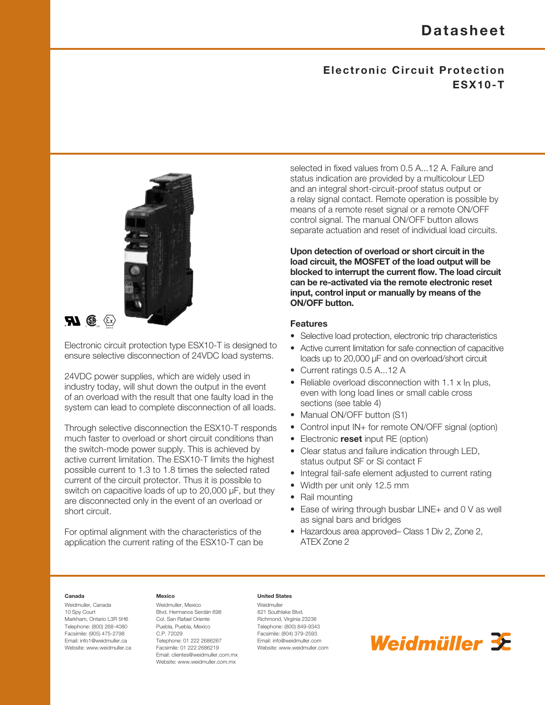# **Electronic Circuit Protection ESX10-T**



Electronic circuit protection type ESX10-T is designed to ensure selective disconnection of 24VDC load systems.

24VDC power supplies, which are widely used in industry today, will shut down the output in the event of an overload with the result that one faulty load in the system can lead to complete disconnection of all loads.

Through selective disconnection the ESX10-T responds much faster to overload or short circuit conditions than the switch-mode power supply. This is achieved by active current limitation. The ESX10-T limits the highest possible current to 1.3 to 1.8 times the selected rated current of the circuit protector. Thus it is possible to switch on capacitive loads of up to 20,000 µF, but they are disconnected only in the event of an overload or short circuit.

For optimal alignment with the characteristics of the application the current rating of the ESX10-T can be selected in fixed values from 0.5 A...12 A. Failure and status indication are provided by a multicolour LED and an integral short-circuit-proof status output or a relay signal contact. Remote operation is possible by means of a remote reset signal or a remote ON/OFF control signal. The manual ON/OFF button allows separate actuation and reset of individual load circuits.

**Upon detection of overload or short circuit in the load circuit, the MOSFET of the load output will be blocked to interrupt the current flow. The load circuit can be re-activated via the remote electronic reset input, control input or manually by means of the ON/OFF button.**

#### **Features**

- Selective load protection, electronic trip characteristics
- Active current limitation for safe connection of capacitive loads up to 20,000 µF and on overload/short circuit
- Current ratings 0.5 A...12 A
- Reliable overload disconnection with 1.1 x In plus, even with long load lines or small cable cross sections (see table 4)
- Manual ON/OFF button (S1)
- Control input IN+ for remote ON/OFF signal (option)
- Electronic **reset** input RE (option)
- Clear status and failure indication through LED, status output SF or Si contact F
- Integral fail-safe element adjusted to current rating
- Width per unit only 12.5 mm
- Rail mounting
- Ease of wiring through busbar LINE+ and 0 V as well as signal bars and bridges
- Hazardous area approved– Class 1Div 2, Zone 2, ATEX Zone 2

#### **Canada**

Weidmuller, Canada 10 Spy Court Markham, Ontario L3R 5H6 Telephone: (800) 268-4080 Facsimile: (905) 475-2798 Email: info1@weidmuller.ca Website: www.weidmuller.ca

<sup>C</sup> US Zone <sup>2</sup>

#### **Mexico**

Weidmuller, Mexico Blvd. Hermanos Serdán 698 Col. San Rafael Oriente Puebla, Puebla, Mexico C.P. 72029 Telephone: 01 222 2686267 Facsimile: 01 222 2686219 Email: clientes@weidmuller.com.mx Website: www.weidmuller.com.mx

#### **United States**

Weidmuller 821 Southlake Blvd. Richmond, Virginia 23236 Telephone: (800) 849-9343 Facsimile: (804) 379-2593 Email: info@weidmuller.com Website: www.weidmuller.com

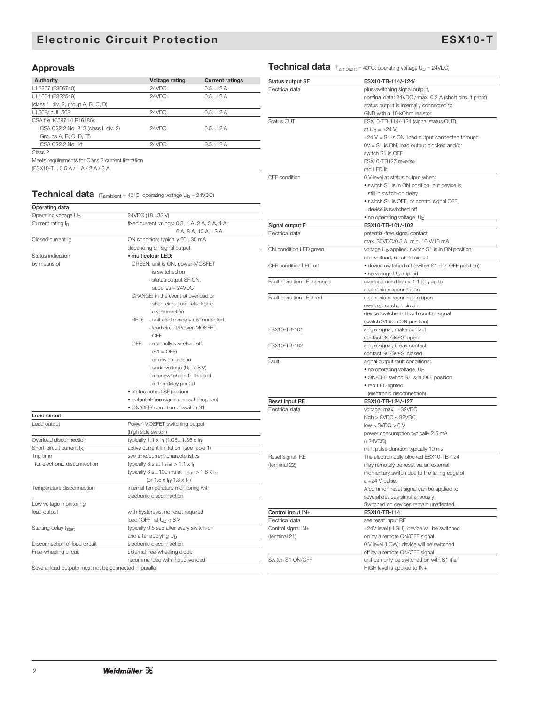# **Electronic Circuit Protection ESX10-T**

nominal data: 24VDC / max. 0.2 A (short circuit proof)

 $+24$  V  $=$  S1 is ON, load output connected through

status output is internally connected to GND with a 10 kOhm resistor

# **Approvals A A Technical data** (T<sub>ambient</sub> = 40°C, operating voltage U<sub>b</sub> = 24VDC)

| <b>Authority</b>                                  | Voltage rating | <b>Current ratings</b> |  |  |
|---------------------------------------------------|----------------|------------------------|--|--|
| UL2367 (E306740)                                  | 24VDC          | 0.512A                 |  |  |
| UL1604 (E322549)                                  | 24VDC          | 0.512A                 |  |  |
| (class 1, div. 2, group A, B, C, D)               |                |                        |  |  |
| UL508/ cUL508                                     | 24VDC          | 0.512A                 |  |  |
| CSA file 165971 (LR16186):                        |                |                        |  |  |
| CSA C22.2 No: 213 (class I, div. 2)               | 24VDC          | 0.512A                 |  |  |
| Groups A, B, C, D, T5                             |                |                        |  |  |
| CSA C22.2 No: 14                                  | 24VDC          | 0.512A                 |  |  |
| Class 2                                           |                |                        |  |  |
| Meets requirements for Class 2 current limitation |                |                        |  |  |
| (ESX10-T 0.5 A / 1 A / 2 A / 3 A                  |                |                        |  |  |

#### **Technical data** (Tambient = 40°C, operation

| CSA C22.2 No: 14                                  | 0.512A<br>24VDC                                                |                            | $OV = S1$ is $ON$ , load output blocked and/or              |
|---------------------------------------------------|----------------------------------------------------------------|----------------------------|-------------------------------------------------------------|
| Class 2                                           |                                                                |                            | switch S1 is OFF                                            |
| Meets requirements for Class 2 current limitation |                                                                |                            | ESX10-TB127 reverse                                         |
| (ESX10-T 0.5 A / 1 A / 2 A / 3 A                  |                                                                |                            | red LED lit                                                 |
|                                                   |                                                                | OFF condition              | 0 V level at status output when:                            |
|                                                   |                                                                |                            | • switch S1 is in ON position, but device is                |
|                                                   | Technical data (Tambient = 40°C, operating voltage Ub = 24VDC) |                            | still in switch-on delay                                    |
|                                                   |                                                                |                            | · switch S1 is OFF, or control signal OFF,                  |
| Operating data                                    |                                                                |                            | device is switched off                                      |
| Operating voltage Ub                              | 24VDC (1832 V)                                                 |                            | • no operating voltage Ub                                   |
| Current rating In                                 | fixed current ratings: 0.5, 1 A, 2 A, 3 A, 4 A,                | Signal output F            | ESX10-TB-101/-102                                           |
|                                                   | 6 A, 8 A, 10 A, 12 A                                           | Electrical data            | potential-free signal contact                               |
| Closed current I <sub>0</sub>                     | ON condition: typically 2030 mA                                |                            | max. 30VDC/0.5 A, min. 10 V/10 mA                           |
|                                                   | depending on signal output                                     | ON condition LED green     | voltage U <sub>b</sub> applied, switch S1 is in ON position |
| Status indication                                 | · multicolour LED:                                             |                            | no overload, no short circuit                               |
| by means of                                       | GREEN: unit is ON, power-MOSFET                                | OFF condition LED off      | • device switched off (switch S1 is in OFF position)        |
|                                                   | is switched on                                                 |                            | • no voltage U <sub>b</sub> applied                         |
|                                                   | - status output SF ON,                                         | Fault condition LED orange | overload condition $> 1.1 \times I_n$ up to                 |
|                                                   | supplies $+ 24VDC$                                             |                            | electronic disconnection                                    |
|                                                   | ORANGE: in the event of overload or                            | Fault condition LED red    | electronic disconnection upon                               |
|                                                   | short circuit until electronic                                 |                            | overload or short circuit                                   |
|                                                   | disconnection                                                  |                            | device switched off with control signal                     |
|                                                   | RED: - unit electronically disconnected                        |                            | (switch S1 is in ON position)                               |
|                                                   | - load circuit/Power-MOSFET                                    | ESX10-TB-101               |                                                             |
|                                                   | OFF                                                            |                            | single signal, make contact                                 |
|                                                   | OFF: - manually switched off                                   | ESX10-TB-102               | contact SC/SO-SI open                                       |
|                                                   | $(S1 = OFF)$                                                   |                            | single signal, break contact                                |
|                                                   | or device is dead                                              |                            | contact SC/SO-SI closed                                     |
|                                                   | - undervoltage ( $Ub < 8 V$ )                                  | Fault                      | signal output fault conditions:                             |
|                                                   | - after switch-on till the end                                 |                            | • no operating voltage Ub                                   |
|                                                   | of the delay period                                            |                            | • ON/OFF switch S1 is in OFF position                       |
|                                                   | · status output SF (option)                                    |                            | • red LED lighted                                           |
|                                                   | · potential-free signal contact F (option)                     |                            | (electronic disconnection)                                  |
|                                                   | · ON/OFF/ condition of switch S1                               | Reset input RE             | ESX10-TB-124/-127                                           |
| Load circuit                                      |                                                                | Electrical data            | voltage: max. +32VDC                                        |
| Load output                                       | Power-MOSFET switching output                                  |                            | high $>$ 8VDC $\leq$ 32VDC                                  |
|                                                   |                                                                |                            | $low \leq 3VDC > 0 V$                                       |
|                                                   | (high side switch)                                             |                            | power consumption typically 2.6 mA                          |
| Overload disconnection                            | typically $1.1 \times I_n$ (1.051.35 x $I_n$ )                 |                            | $(+24VDC)$                                                  |
| Short-circuit current IK                          | active current limitation (see table 1)                        |                            | min. pulse duration typically 10 ms                         |
| Trip time                                         | see time/current characteristics                               | Reset signal RE            | The electronically blocked ESX10-TB-124                     |
| for electronic disconnection                      | typically 3 s at $I_{Load} > 1.1 \times I_n$                   | (terminal 22)              | may remotely be reset via an external                       |
|                                                   | typically 3 s100 ms at $I_{Load} > 1.8 \times I_n$             |                            | momentary switch due to the falling edge of                 |
|                                                   | (or $1.5 \times \frac{\ln(1.3 \times \ln)}{1.3 \times \ln(1)}$ |                            | $a + 24$ V pulse.                                           |
| Temperature disconnection                         | internal temperature monitoring with                           |                            | A common reset signal can be applied to                     |
|                                                   | electronic disconnection                                       |                            | several devices simultaneously.                             |
| Low voltage monitoring                            |                                                                |                            | Switched on devices remain unaffected.                      |
| load output                                       | with hysteresis, no reset required                             | Control input IN+          | ESX10-TB-114                                                |
|                                                   | load "OFF" at $U_b < 8$ V                                      | Electrical data            | see reset input RE                                          |
| Starting delay tstart                             | typically 0.5 sec after every switch-on                        | Control signal IN+         | +24V level (HIGH): device will be switched                  |
|                                                   | and after applying Ub                                          | (terminal 21)              | on by a remote ON/OFF signal                                |
| Disconnection of load circuit                     | electronic disconnection                                       |                            | 0 V level (LOW): device will be switched                    |
| Free-wheeling circuit                             | external free-wheeling diode                                   |                            | off by a remote ON/OFF signal                               |
|                                                   | recommended with inductive load                                | Switch S1 ON/OFF           | unit can only be switched on with S1 if a                   |

**Status output SF ESX10-TB-114/-124/** Electrical data **plus-switching signal output**,

Status OUT ESX10-TB-114/-124 (signal status OUT),

at  $U_b = +24 V$ 

HIGH level is applied to IN+

Several load outputs must not be connected in parallel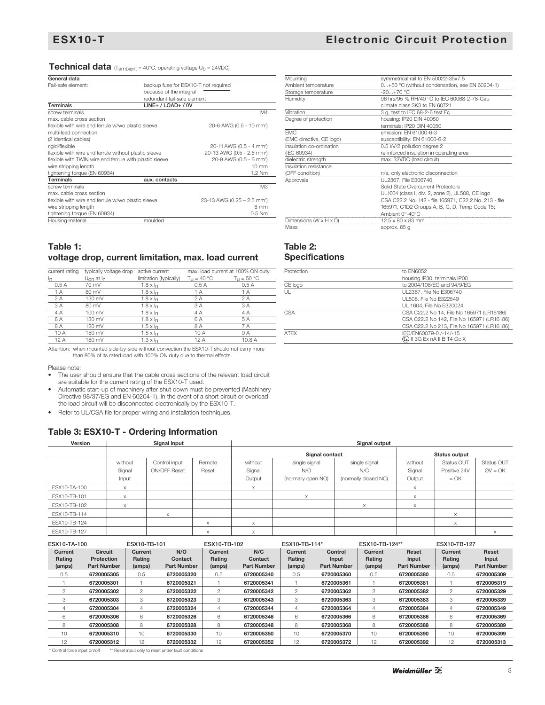0...+50 °C (without condensation, see EN 60204-1)

-20...+70 °C<br>96 hrs/95 % RH/40 °C to IEC 60068-2-78-Cab

Mounting symmetrical rail to EN 50022-35x7.5

Ambient temperature<br>Storage temperature<br>Humidity

#### **Technical data** (T<sub>ambient</sub> = 40°C, operating voltage U<sub>b</sub> = 24VDC)

| General data                                            |                                         |
|---------------------------------------------------------|-----------------------------------------|
| Fail-safe element:                                      | backup fuse for ESX10-T not required    |
|                                                         | because of the integral                 |
|                                                         | redundant fail-safe element             |
| <b>Terminals</b>                                        | $LINE+ / LOAD+ / 0V$                    |
| screw terminals                                         | M4                                      |
| max. cable cross section                                |                                         |
| flexible with wire end ferrule w/wo plastic sleeve      | 20-6 AWG (0.5 - 10 mm <sup>2</sup> )    |
| multi-lead connection                                   |                                         |
| (2 identical cables)                                    |                                         |
| rigid/flexible                                          | 20-11 AWG (0.5 - 4 mm <sup>2</sup> )    |
| flexible with wire end ferrule without plastic sleeve   | 20-13 AWG (0.5 - 2.5 mm <sup>2</sup> )  |
| flexible with TWIN wire end ferrule with plastic sleeve | 20-9 AWG (0.5 - 6 mm <sup>2</sup> )     |
| wire stripping length                                   | $10 \text{ mm}$                         |
| tightening torque (EN 60934)                            | 1.2 Nm                                  |
| Terminals                                               | aux. contacts                           |
| screw terminals                                         | M <sub>3</sub>                          |
| max. cable cross section                                |                                         |
| flexible with wire end ferrule w/wo plastic sleeve      | 23-13 AWG (0.25 - 2.5 mm <sup>2</sup> ) |
| wire stripping length                                   | 8 mm                                    |
| tightening torque (EN 60934)                            | $0.5$ Nm                                |
| Housing material                                        | moulded                                 |

| Table 1:                                            |
|-----------------------------------------------------|
| voltage drop, current limitation, max. load current |

| current rating | typically voltage drop       | active current         |                                | max. load current at 100% ON duty |
|----------------|------------------------------|------------------------|--------------------------------|-----------------------------------|
| Ιņ.            | $U_{\Omega}$ at $I_{\Omega}$ | limitation (typically) | $T_{\text{U}} = 40 \text{ °C}$ | $T_{\text{H}}$ = 50 °C            |
| 0.5A           | 70 mV                        | $1.8 \times h$         | 0.5A                           | 0.5A                              |
| 1 A            | 80 mV                        | $1.8 \times h$         | 1 A                            | 1 A                               |
| 2A             | 130 mV                       | $1.8 \times h$         | 2 A                            | 2A                                |
| 3A             | 80 mV                        | $1.8 \times h$         | 3 A                            | 3 A                               |
| 4 A            | 100 mV                       | $1.8 \times h$         | 4 A                            | 4 A                               |
| 6 A            | 130 mV                       | $1.8 \times h$         | 6 A                            | 5 A                               |
| 8 A            | 120 mV                       | $1.5 \times h$         | 8 A                            | 7 A                               |
| 10A            | 150 mV                       | $1.5 \times h$         | 10 A                           | 9 A                               |
| 12A            | 180 mV                       | $1.3 \times h$         | 12A                            | 10.8 A                            |
|                |                              |                        |                                |                                   |

Attention: when mounted side-by-side without convection the ESX10-T should not carry more than 80% of its rated load with 100% ON duty due to thermal effects.

Please note:

• The user should ensure that the cable cross sections of the relevant load circuit are suitable for the current rating of the ESX10-T used.

• Automatic start-up of machinery after shut down must be prevented (Machinery Directive 98/37/EG and EN 60204-1). In the event of a short circuit or overload the load circuit will be disconnected electronically by the ESX10-T.

• Refer to UL/CSA file for proper wiring and installation techniques.

## **Table 3: ESX10-T - Ordering Information**

| Version      |          | Signal input        |          |         |                    | Signal output        |          |              |            |
|--------------|----------|---------------------|----------|---------|--------------------|----------------------|----------|--------------|------------|
|              |          |                     |          |         | Signal contact     | <b>Status output</b> |          |              |            |
|              | without  | Control input       | Remote   | without | single signal      | single signal        | without  | Status OUT   | Status OUT |
|              | Signal   | <b>ON/OFF Reset</b> | Reset    | Signal  | N/O                | N/C                  | Signal   | Positive 24V | $QV = OK$  |
|              | Input    |                     |          | Output  | (normally open NO) | (normally closed NC) | Output   | $=$ OK       |            |
| ESX10-TA-100 | X        |                     |          | X       |                    |                      | $\times$ |              |            |
| ESX10-TB-101 | $\times$ |                     |          |         | X                  |                      | $\times$ |              |            |
| ESX10-TB-102 | $\times$ |                     |          |         |                    | X                    | $\times$ |              |            |
| ESX10-TB-114 |          | $\times$            |          |         |                    |                      |          | X            |            |
| ESX10-TB-124 |          |                     | $\times$ | X       |                    |                      |          | X            |            |
| ESX10-TB-127 |          |                     | X        | X       |                    |                      |          |              | X          |

| ESX10-TB-101<br>ESX10-TA-100 |                                    |         | ESX10-TB-102       |                | ESX10-TB-114*      |         | ESX10-TB-124**     |                | ESX10-TB-127       |         |                    |
|------------------------------|------------------------------------|---------|--------------------|----------------|--------------------|---------|--------------------|----------------|--------------------|---------|--------------------|
| Current                      | <b>Circuit</b>                     | Current | N/O                | Current        | N/C                | Current | Control            | Current        | Reset              | Current | Reset              |
| Rating                       | <b>Protection</b>                  | Rating  | Contact            | Rating         | Contact            | Rating  | Input              | Rating         | Input              | Rating  | Input              |
| (amps)                       | <b>Part Number</b>                 | (amps)  | <b>Part Number</b> | (amps)         | <b>Part Number</b> | (amps)  | <b>Part Number</b> | (amps)         | <b>Part Number</b> | (amps)  | <b>Part Number</b> |
| 0.5                          | 6720005305                         | 0.5     | 6720005320         | 0.5            | 6720005340         | 0.5     | 6720005360         | 0.5            | 6720005380         | 0.5     | 6720005309         |
|                              | 6720005301                         |         | 6720005321         |                | 6720005341         |         | 6720005361         |                | 6720005381         |         | 6720005319         |
| 2                            | 6720005302                         | 2       | 6720005322         | $\overline{2}$ | 6720005342         | 2       | 6720005362         | $\overline{2}$ | 6720005382         | 2       | 6720005329         |
| 3                            | 6720005303                         | 3       | 6720005323         | 3              | 6720005343         | 3       | 6720005363         | 3              | 6720005383         | З       | 6720005339         |
|                              | 6720005304                         | 4       | 6720005324         | 4              | 6720005344         | 4       | 6720005364         | 4              | 6720005384         | 4       | 6720005349         |
| 6                            | 6720005306                         | 6       | 6720005326         | 6              | 6720005346         | 6       | 6720005366         | 6              | 6720005386         | 6       | 6720005369         |
| 8                            | 6720005308                         | 8       | 6720005328         | 8              | 6720005348         | 8       | 6720005368         | 8              | 6720005388         | 8       | 6720005389         |
| 10                           | 6720005310                         | 10      | 6720005330         | 10             | 6720005350         | 10      | 6720005370         | 10             | 6720005390         | 10      | 6720005399         |
| 12                           | 6720005312                         | 12      | 6720005332         | 12             | 6720005352         | 12      | 6720005372         | 12             | 6720005392         | 12      | 6720005313         |
|                              | $\sim$ $\sim$ $\sim$ $\sim$ $\sim$ |         |                    |                |                    |         |                    |                |                    |         |                    |

Control force input on/off \*\* Reset input only to reset under fault conditions

| Table 2:<br><b>Specifications</b>    |                                                       |
|--------------------------------------|-------------------------------------------------------|
|                                      |                                                       |
| Mass                                 | approx. 65 g                                          |
| Dimensions ( $W \times H \times D$ ) | $12.5 \times 80 \times 83$ mm                         |
|                                      | Ambient 0°-40°C                                       |
|                                      | 165971, C1D2 Groups A, B, C, D, Temp Code T5;         |
|                                      | CSA C22.2 No. 142 - file 165971, C22.2 No. 213 - file |
|                                      | UL1604 (class I, div. 2, zone 2), UL508, CE logo      |
|                                      | Solid State Overcurrent Protectors                    |
| Approvals                            | UL2367, File E306740,                                 |
| (OFF condition)                      | n/a, only electronic disconnection                    |
| Insulation resistance                |                                                       |
| dielectric strength                  | max. 32VDC (load circuit)                             |
| (IEC 60934)                          | re-inforced insulation in operating area              |
| Insulation co-ordination             | 0.5 kV/2 pollution degree 2                           |
| (EMC directive, CE logo)             | susceptibility: EN 61000-6-2                          |
| <b>FMC</b>                           | emission: FN 61000-6-3                                |
|                                      | terminals: IP20 DIN 40050                             |
| Degree of protection                 | housing: IP20 DIN 40050                               |
| Vibration                            | 3 g, test to IEC 68-2-6 test Fc                       |
|                                      | climate class 3K3 to FN 60721                         |

| Protection | to EN6052                                  |
|------------|--------------------------------------------|
|            | housing IP30, terminals IP00               |
| CE logo    | to 2004/108/EG and 94/9/EG                 |
| UL         | UL2367. File No E306740                    |
|            | UL508. File No E322549                     |
|            | UL 1604. File No E320024                   |
| CSA        | CSA C22.2 No 14, File No 165971 (LR16186)  |
|            | CSA C22.2 No 142. File No 165971 (LR16186) |
|            | CSA C22.2 No 213, File No 165971 (LR16186) |
| ATFX       | IEC/EN60079-0 /-14/-15                     |
|            | 《εx》    3G Ex nA    Β T4 Gc X              |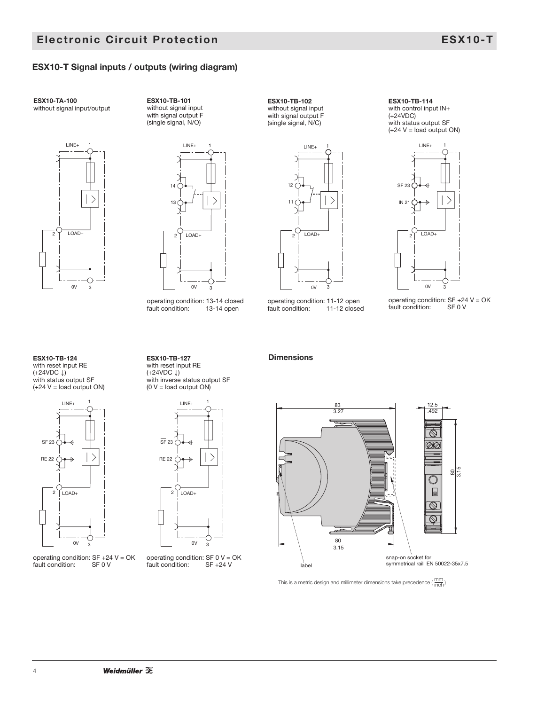## **ESX10-T Signal inputs / outputs (wiring diagram)**

**ESX10-TA-100** without signal input/output



**ESX10-TB-101** without signal input with signal output F (single signal, N/O)



operating condition: 13-14 closed<br>fault condition: 13-14 open fault condition:



**ESX10-TB-102** without signal input with signal output F

operating condition: 11-12 open fault condition: 11-12 closed



 $LINE+$ 

with status output SF  $(+24 V =$ load output ON)

**ESX10-TB-114** with control input IN+

(+24VDC)

operating condition:  $SF +24 V = OK$ <br>fault condition:  $SF 0 V$ fault condition:

**ESX10-TB-124** with reset input RE (+24VDC ↓) with status output SF  $(+24 V =$  load output ON)



operating condition:  $SF +24 V = OK$ <br>fault condition:  $SF 0 V$ fault condition:

**ESX10-TB-127** with reset input RE (+24VDC ↓) with inverse status output SF  $(0 V =$  load output ON)



operating condition:  $SF 0 V = OK$ <br>fault condition:  $SF +24 V$ fault condition:

#### **Dimensions**



This is a metric design and millimeter dimensions take precedence ( $\frac{\text{mm}}{\text{inch}}$ )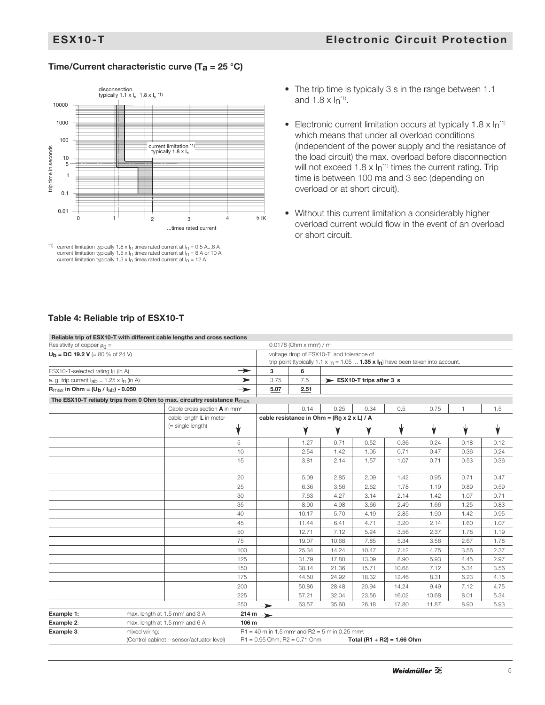## **Time/Current characteristic curve (Ta = 25 °C)**



<sup>&</sup>lt;sup>\*1)</sup> current limitation typically 1.8 x I<sub>n</sub> times rated current at I<sub>n</sub> = 0.5 A...6 A current limitation typically 1.5 x I<sub>n</sub> times rated current at I<sub>n</sub> = 8 A or 10 A current limitation typically 1.3 x  $I_n$  times rated current at  $I_n = 12$  A

- The trip time is typically 3 s in the range between 1.1 and 1.8 x  $ln^{11}$ .
- Electronic current limitation occurs at typically 1.8  $\times$   $\ln^{1}$ <sup>1</sup> which means that under all overload conditions (independent of the power supply and the resistance of the load circuit) the max. overload before disconnection will not exceed 1.8 x  $In^{\text{th}}$  times the current rating. Trip time is between 100 ms and 3 sec (depending on overload or at short circuit).
- Without this current limitation a considerably higher overload current would flow in the event of an overload or short circuit.

## **Table 4: Reliable trip of ESX10-T**

|                                                                       |               | Reliable trip of ESX10-T with different cable lengths and cross sections            |               |                                                                                                                                  |       |                                              |       |                            |       |      |      |
|-----------------------------------------------------------------------|---------------|-------------------------------------------------------------------------------------|---------------|----------------------------------------------------------------------------------------------------------------------------------|-------|----------------------------------------------|-------|----------------------------|-------|------|------|
| Resistivity of copper $\rho_0 =$                                      |               |                                                                                     |               | $0.0178$ (Ohm x mm <sup>2</sup> ) / m                                                                                            |       |                                              |       |                            |       |      |      |
| <b>U<sub>b</sub></b> = <b>DC 19.2 V</b> (= 80 % of 24 V)              |               |                                                                                     |               | voltage drop of ESX10-T and tolerance of<br>trip point (typically 1.1 x $I_n = 1.05  1.35 x I_n$ ) have been taken into account. |       |                                              |       |                            |       |      |      |
| ESX10-T-selected rating $I_n$ (in A)                                  |               |                                                                                     | $\rightarrow$ | 3                                                                                                                                | 6     |                                              |       |                            |       |      |      |
| e. g. trip current $I_{ab} = 1.25 \times I_n$ (in A)                  |               |                                                                                     | $\rightarrow$ | 3.75                                                                                                                             | 7.5   | ESX10-T trips after 3 s                      |       |                            |       |      |      |
| $R_{\text{max}}$ in Ohm = (U <sub>b</sub> / I <sub>ab</sub> ) - 0.050 |               |                                                                                     | $\rightarrow$ | 5.07                                                                                                                             | 2.51  |                                              |       |                            |       |      |      |
|                                                                       |               | The ESX10-T reliably trips from 0 Ohm to max. circuitry resistance $R_{\text{max}}$ |               |                                                                                                                                  |       |                                              |       |                            |       |      |      |
|                                                                       |               | Cable cross section $\mathbf{A}$ in mm <sup>2</sup>                                 |               |                                                                                                                                  | 0.14  | 0.25                                         | 0.34  | 0.5                        | 0.75  | 1    | 1.5  |
|                                                                       |               | cable length L in meter                                                             |               |                                                                                                                                  |       | cable resistance in Ohm = $(R0 x 2 x L) / A$ |       |                            |       |      |      |
|                                                                       |               | $( = single length)$                                                                | v             |                                                                                                                                  |       |                                              |       |                            |       |      |      |
|                                                                       |               |                                                                                     | 5             |                                                                                                                                  | 1.27  | 0.71                                         | 0.52  | 0.36                       | 0.24  | 0.18 | 0.12 |
|                                                                       |               |                                                                                     | 10            |                                                                                                                                  | 2.54  | 1.42                                         | 1.05  | 0.71                       | 0.47  | 0.36 | 0.24 |
|                                                                       |               |                                                                                     | 15            |                                                                                                                                  | 3.81  | 2.14                                         | 1.57  | 1.07                       | 0.71  | 0.53 | 0.36 |
|                                                                       |               |                                                                                     | 20            |                                                                                                                                  | 5.09  | 2.85                                         | 2.09  | 1.42                       | 0.95  | 0.71 | 0.47 |
|                                                                       |               |                                                                                     | 25            |                                                                                                                                  | 6.36  | 3.56                                         | 2.62  | 1.78                       | 1.19  | 0.89 | 0.59 |
|                                                                       |               |                                                                                     | 30            |                                                                                                                                  | 7.63  | 4.27                                         | 3.14  | 2.14                       | 1.42  | 1.07 | 0.71 |
|                                                                       |               |                                                                                     | 35            |                                                                                                                                  | 8.90  | 4.98                                         | 3.66  | 2.49                       | 1.66  | 1.25 | 0.83 |
|                                                                       |               |                                                                                     | 40            |                                                                                                                                  | 10.17 | 5.70                                         | 4.19  | 2.85                       | 1.90  | 1.42 | 0.95 |
|                                                                       |               |                                                                                     | 45            |                                                                                                                                  | 11.44 | 6.41                                         | 4.71  | 3.20                       | 2.14  | 1.60 | 1.07 |
|                                                                       |               |                                                                                     | 50            |                                                                                                                                  | 12.71 | 7.12                                         | 5.24  | 3.56                       | 2.37  | 1.78 | 1.19 |
|                                                                       |               |                                                                                     | 75            |                                                                                                                                  | 19.07 | 10.68                                        | 7.85  | 5.34                       | 3.56  | 2.67 | 1.78 |
|                                                                       |               |                                                                                     | 100           |                                                                                                                                  | 25.34 | 14.24                                        | 10.47 | 7.12                       | 4.75  | 3.56 | 2.37 |
|                                                                       |               |                                                                                     | 125           |                                                                                                                                  | 31.79 | 17.80                                        | 13.09 | 8.90                       | 5.93  | 4.45 | 2.97 |
|                                                                       |               |                                                                                     | 150           |                                                                                                                                  | 38.14 | 21.36                                        | 15.71 | 10.68                      | 7.12  | 5.34 | 3.56 |
|                                                                       |               |                                                                                     | 175           |                                                                                                                                  | 44.50 | 24.92                                        | 18.32 | 12.46                      | 8.31  | 6.23 | 4.15 |
|                                                                       |               |                                                                                     | 200           |                                                                                                                                  | 50.86 | 28.48                                        | 20.94 | 14.24                      | 9.49  | 7.12 | 4.75 |
|                                                                       |               |                                                                                     | 225           |                                                                                                                                  | 57.21 | 32.04                                        | 23.56 | 16.02                      | 10.68 | 8.01 | 5.34 |
|                                                                       |               |                                                                                     | 250           | $\rightarrow$                                                                                                                    | 63.57 | 35.60                                        | 26.18 | 17.80                      | 11.87 | 8.90 | 5.93 |
| Example 1:                                                            |               | max. length at 1.5 mm <sup>2</sup> and 3 A                                          |               | $214 m \rightarrow$                                                                                                              |       |                                              |       |                            |       |      |      |
| Example 2:                                                            |               | max. length at 1.5 mm <sup>2</sup> and 6 A                                          | 106 m         |                                                                                                                                  |       |                                              |       |                            |       |      |      |
| Example 3:                                                            | mixed wiring: | (Control cabinet - sensor/actuator level)                                           |               | $R1 = 40$ m in 1.5 mm <sup>2</sup> and $R2 = 5$ m in 0.25 mm <sup>2</sup> :<br>$R1 = 0.95$ Ohm, $R2 = 0.71$ Ohm                  |       |                                              |       | Total (R1 + R2) = 1.66 Ohm |       |      |      |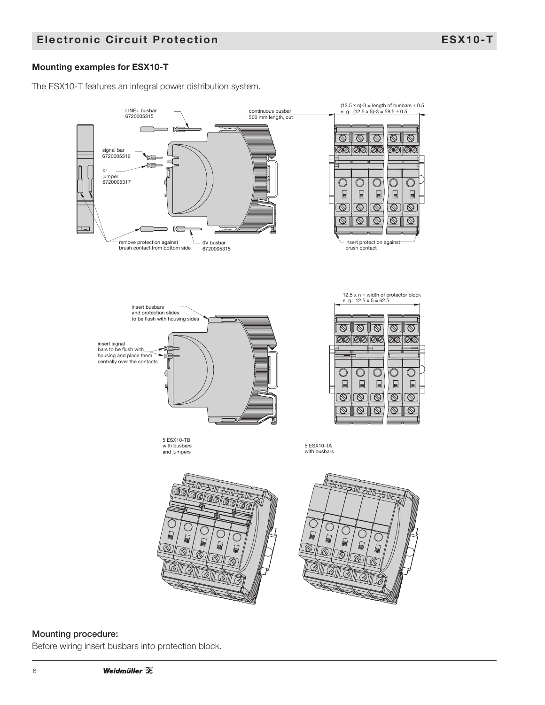## **Mounting examples for ESX10-T**

The ESX10-T features an integral power distribution system.



## **Mounting procedure:**

Before wiring insert busbars into protection block.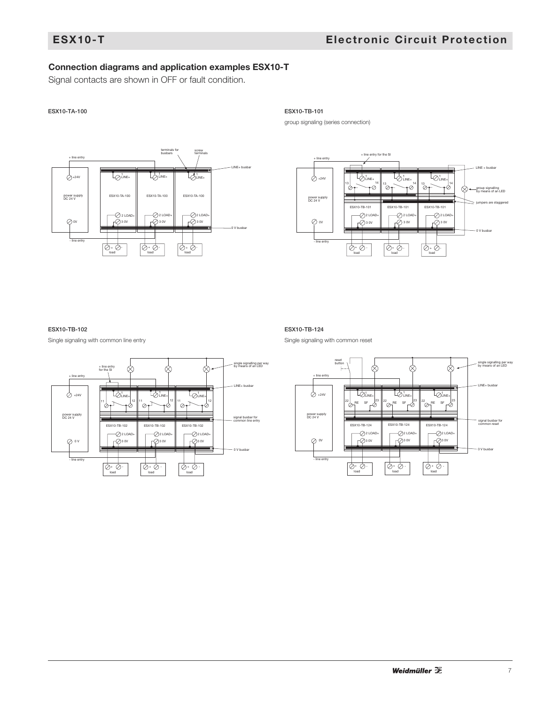## **Connection diagrams and application examples ESX10-T**

Signal contacts are shown in OFF or fault condition.

#### **ESX10-TA-100 ESX10-TB-101**



group signaling (series connection)



#### **ESX10-TB-102**

Single signaling with common line entry



#### **ESX10-TB-124**

Single signaling with common reset